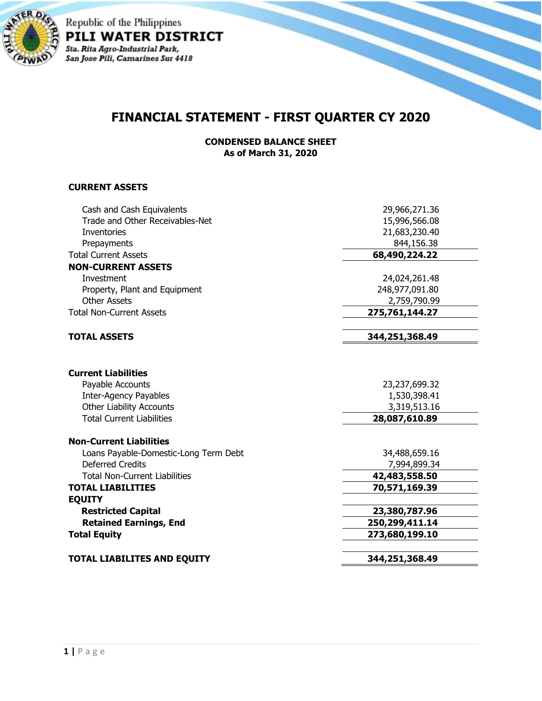

Republic of the Philippines PILI WATER DISTRICT Sta. Rita Agro-Industrial Park,<br>San Jose Pili, Camarines Sur 4418

## **FINANCIAL STATEMENT - FIRST QUARTER CY 2020**

**CONDENSED BALANCE SHEET As of March 31, 2020**

## **CURRENT ASSETS**

| Trade and Other Receivables-Net<br>15,996,566.08<br>21,683,230.40<br>Inventories<br>844,156.38<br>Prepayments<br>68,490,224.22<br><b>Total Current Assets</b><br><b>NON-CURRENT ASSETS</b><br>Investment<br>24,024,261.48<br>248,977,091.80<br>Property, Plant and Equipment<br><b>Other Assets</b><br>2,759,790.99<br><b>Total Non-Current Assets</b><br>275,761,144.27<br>344,251,368.49<br><b>TOTAL ASSETS</b><br><b>Current Liabilities</b><br>Payable Accounts<br>23,237,699.32<br><b>Inter-Agency Payables</b><br>1,530,398.41<br><b>Other Liability Accounts</b><br>3,319,513.16<br><b>Total Current Liabilities</b><br>28,087,610.89<br><b>Non-Current Liabilities</b><br>Loans Payable-Domestic-Long Term Debt<br>34,488,659.16<br><b>Deferred Credits</b><br>7,994,899.34<br><b>Total Non-Current Liabilities</b><br>42,483,558.50<br><b>TOTAL LIABILITIES</b><br>70,571,169.39<br><b>EQUITY</b><br><b>Restricted Capital</b><br>23,380,787.96<br><b>Retained Earnings, End</b><br>250,299,411.14<br>273,680,199.10<br><b>Total Equity</b><br>344,251,368.49<br><b>TOTAL LIABILITES AND EQUITY</b> | Cash and Cash Equivalents | 29,966,271.36 |
|--------------------------------------------------------------------------------------------------------------------------------------------------------------------------------------------------------------------------------------------------------------------------------------------------------------------------------------------------------------------------------------------------------------------------------------------------------------------------------------------------------------------------------------------------------------------------------------------------------------------------------------------------------------------------------------------------------------------------------------------------------------------------------------------------------------------------------------------------------------------------------------------------------------------------------------------------------------------------------------------------------------------------------------------------------------------------------------------------------------|---------------------------|---------------|
|                                                                                                                                                                                                                                                                                                                                                                                                                                                                                                                                                                                                                                                                                                                                                                                                                                                                                                                                                                                                                                                                                                              |                           |               |
|                                                                                                                                                                                                                                                                                                                                                                                                                                                                                                                                                                                                                                                                                                                                                                                                                                                                                                                                                                                                                                                                                                              |                           |               |
|                                                                                                                                                                                                                                                                                                                                                                                                                                                                                                                                                                                                                                                                                                                                                                                                                                                                                                                                                                                                                                                                                                              |                           |               |
|                                                                                                                                                                                                                                                                                                                                                                                                                                                                                                                                                                                                                                                                                                                                                                                                                                                                                                                                                                                                                                                                                                              |                           |               |
|                                                                                                                                                                                                                                                                                                                                                                                                                                                                                                                                                                                                                                                                                                                                                                                                                                                                                                                                                                                                                                                                                                              |                           |               |
|                                                                                                                                                                                                                                                                                                                                                                                                                                                                                                                                                                                                                                                                                                                                                                                                                                                                                                                                                                                                                                                                                                              |                           |               |
|                                                                                                                                                                                                                                                                                                                                                                                                                                                                                                                                                                                                                                                                                                                                                                                                                                                                                                                                                                                                                                                                                                              |                           |               |
|                                                                                                                                                                                                                                                                                                                                                                                                                                                                                                                                                                                                                                                                                                                                                                                                                                                                                                                                                                                                                                                                                                              |                           |               |
|                                                                                                                                                                                                                                                                                                                                                                                                                                                                                                                                                                                                                                                                                                                                                                                                                                                                                                                                                                                                                                                                                                              |                           |               |
|                                                                                                                                                                                                                                                                                                                                                                                                                                                                                                                                                                                                                                                                                                                                                                                                                                                                                                                                                                                                                                                                                                              |                           |               |
|                                                                                                                                                                                                                                                                                                                                                                                                                                                                                                                                                                                                                                                                                                                                                                                                                                                                                                                                                                                                                                                                                                              |                           |               |
|                                                                                                                                                                                                                                                                                                                                                                                                                                                                                                                                                                                                                                                                                                                                                                                                                                                                                                                                                                                                                                                                                                              |                           |               |
|                                                                                                                                                                                                                                                                                                                                                                                                                                                                                                                                                                                                                                                                                                                                                                                                                                                                                                                                                                                                                                                                                                              |                           |               |
|                                                                                                                                                                                                                                                                                                                                                                                                                                                                                                                                                                                                                                                                                                                                                                                                                                                                                                                                                                                                                                                                                                              |                           |               |
|                                                                                                                                                                                                                                                                                                                                                                                                                                                                                                                                                                                                                                                                                                                                                                                                                                                                                                                                                                                                                                                                                                              |                           |               |
|                                                                                                                                                                                                                                                                                                                                                                                                                                                                                                                                                                                                                                                                                                                                                                                                                                                                                                                                                                                                                                                                                                              |                           |               |
|                                                                                                                                                                                                                                                                                                                                                                                                                                                                                                                                                                                                                                                                                                                                                                                                                                                                                                                                                                                                                                                                                                              |                           |               |
|                                                                                                                                                                                                                                                                                                                                                                                                                                                                                                                                                                                                                                                                                                                                                                                                                                                                                                                                                                                                                                                                                                              |                           |               |
|                                                                                                                                                                                                                                                                                                                                                                                                                                                                                                                                                                                                                                                                                                                                                                                                                                                                                                                                                                                                                                                                                                              |                           |               |
|                                                                                                                                                                                                                                                                                                                                                                                                                                                                                                                                                                                                                                                                                                                                                                                                                                                                                                                                                                                                                                                                                                              |                           |               |
|                                                                                                                                                                                                                                                                                                                                                                                                                                                                                                                                                                                                                                                                                                                                                                                                                                                                                                                                                                                                                                                                                                              |                           |               |
|                                                                                                                                                                                                                                                                                                                                                                                                                                                                                                                                                                                                                                                                                                                                                                                                                                                                                                                                                                                                                                                                                                              |                           |               |
|                                                                                                                                                                                                                                                                                                                                                                                                                                                                                                                                                                                                                                                                                                                                                                                                                                                                                                                                                                                                                                                                                                              |                           |               |
|                                                                                                                                                                                                                                                                                                                                                                                                                                                                                                                                                                                                                                                                                                                                                                                                                                                                                                                                                                                                                                                                                                              |                           |               |
|                                                                                                                                                                                                                                                                                                                                                                                                                                                                                                                                                                                                                                                                                                                                                                                                                                                                                                                                                                                                                                                                                                              |                           |               |
|                                                                                                                                                                                                                                                                                                                                                                                                                                                                                                                                                                                                                                                                                                                                                                                                                                                                                                                                                                                                                                                                                                              |                           |               |